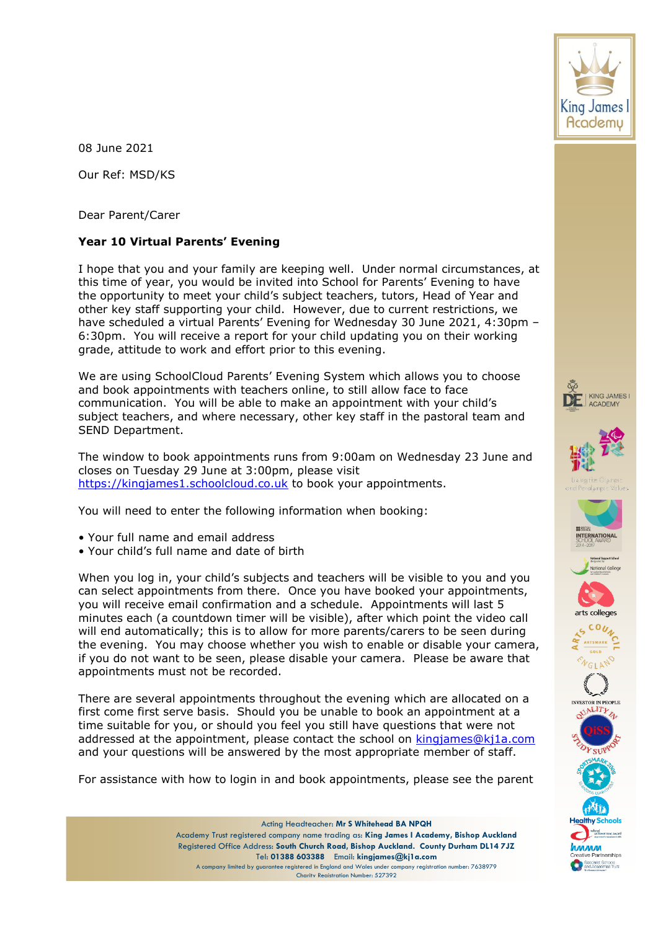

KING JAMES

ACADEMY

**TERNATIONAL** 

arts colleges coun ARTSMARK

vational College

DE

08 June 2021

Our Ref: MSD/KS

Dear Parent/Carer

## **Year 10 Virtual Parents' Evening**

I hope that you and your family are keeping well. Under normal circumstances, at this time of year, you would be invited into School for Parents' Evening to have the opportunity to meet your child's subject teachers, tutors, Head of Year and other key staff supporting your child. However, due to current restrictions, we have scheduled a virtual Parents' Evening for Wednesday 30 June 2021, 4:30pm – 6:30pm. You will receive a report for your child updating you on their working grade, attitude to work and effort prior to this evening.

We are using SchoolCloud Parents' Evening System which allows you to choose and book appointments with teachers online, to still allow face to face communication. You will be able to make an appointment with your child's subject teachers, and where necessary, other key staff in the pastoral team and SEND Department.

The window to book appointments runs from 9:00am on Wednesday 23 June and closes on Tuesday 29 June at 3:00pm, please visit [https://kingjames1.schoolcloud.co.uk](https://kingjames1.schoolcloud.co.uk/) to book your appointments.

You will need to enter the following information when booking:

- Your full name and email address
- Your child's full name and date of birth

When you log in, your child's subjects and teachers will be visible to you and you can select appointments from there. Once you have booked your appointments, you will receive email confirmation and a schedule. Appointments will last 5 minutes each (a countdown timer will be visible), after which point the video call will end automatically; this is to allow for more parents/carers to be seen during the evening. You may choose whether you wish to enable or disable your camera, if you do not want to be seen, please disable your camera. Please be aware that appointments must not be recorded.

There are several appointments throughout the evening which are allocated on a first come first serve basis. Should you be unable to book an appointment at a time suitable for you, or should you feel you still have questions that were not addressed at the appointment, please contact the school on [kingjames@kj1a.com](mailto:kingjames@kj1a.com) and your questions will be answered by the most appropriate member of staff.

For assistance with how to login in and book appointments, please see the parent



Acting Headteacher: **Mr S Whitehead BA NPQH** Academy Trust registered company name trading as: **King James I Academy, Bishop Auckland** Registered Office Address: **South Church Road, Bishop Auckland. County Durham DL14 7JZ** Tel: **01388 603388** Email: **kingjames@kj1a.com** A company limited by guarantee registered in England and Wales under company registration number: 7638979 Charity Registration Number: 527392